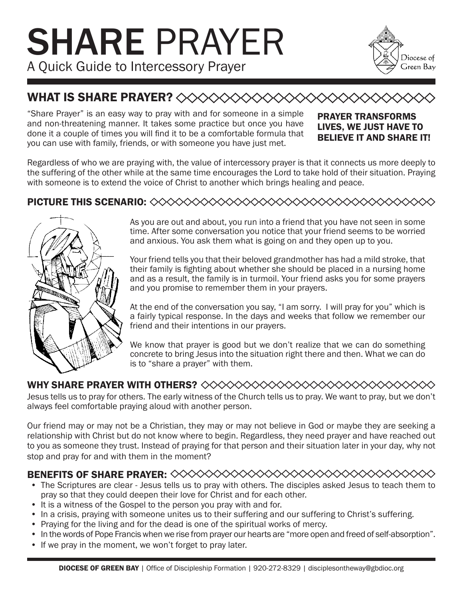# SHARE PRAYER A Quick Guide to Intercessory Prayer



## WHAT IS SHARE PRAYER? <><><<<<<

"Share Prayer" is an easy way to pray with and for someone in a simple and non-threatening manner. It takes some practice but once you have done it a couple of times you will find it to be a comfortable formula that you can use with family, friends, or with someone you have just met.

#### PRAYER TRANSFORMS LIVES, WE JUST HAVE TO BELIEVE IT AND SHARE IT!

Regardless of who we are praying with, the value of intercessory prayer is that it connects us more deeply to the suffering of the other while at the same time encourages the Lord to take hold of their situation. Praying with someone is to extend the voice of Christ to another which brings healing and peace.

#### PICTURE THIS SCENARIO:



As you are out and about, you run into a friend that you have not seen in some time. After some conversation you notice that your friend seems to be worried and anxious. You ask them what is going on and they open up to you.

Your friend tells you that their beloved grandmother has had a mild stroke, that their family is fighting about whether she should be placed in a nursing home and as a result, the family is in turmoil. Your friend asks you for some prayers and you promise to remember them in your prayers.

At the end of the conversation you say, "I am sorry. I will pray for you" which is a fairly typical response. In the days and weeks that follow we remember our friend and their intentions in our prayers.

We know that prayer is good but we don't realize that we can do something concrete to bring Jesus into the situation right there and then. What we can do is to "share a prayer" with them.

### WHY SHARE PRAYER WITH OTHERS?

Jesus tells us to pray for others. The early witness of the Church tells us to pray. We want to pray, but we don't always feel comfortable praying aloud with another person.

Our friend may or may not be a Christian, they may or may not believe in God or maybe they are seeking a relationship with Christ but do not know where to begin. Regardless, they need prayer and have reached out to you as someone they trust. Instead of praying for that person and their situation later in your day, why not stop and pray for and with them in the moment?

#### BENEFITS OF SHARE PRAYER:

- The Scriptures are clear Jesus tells us to pray with others. The disciples asked Jesus to teach them to pray so that they could deepen their love for Christ and for each other.
- It is a witness of the Gospel to the person you pray with and for.
- In a crisis, praying with someone unites us to their suffering and our suffering to Christ's suffering.
- Praying for the living and for the dead is one of the spiritual works of mercy.
- In the words of Pope Francis when we rise from prayer our hearts are "more open and freed of self-absorption".
- If we pray in the moment, we won't forget to pray later.